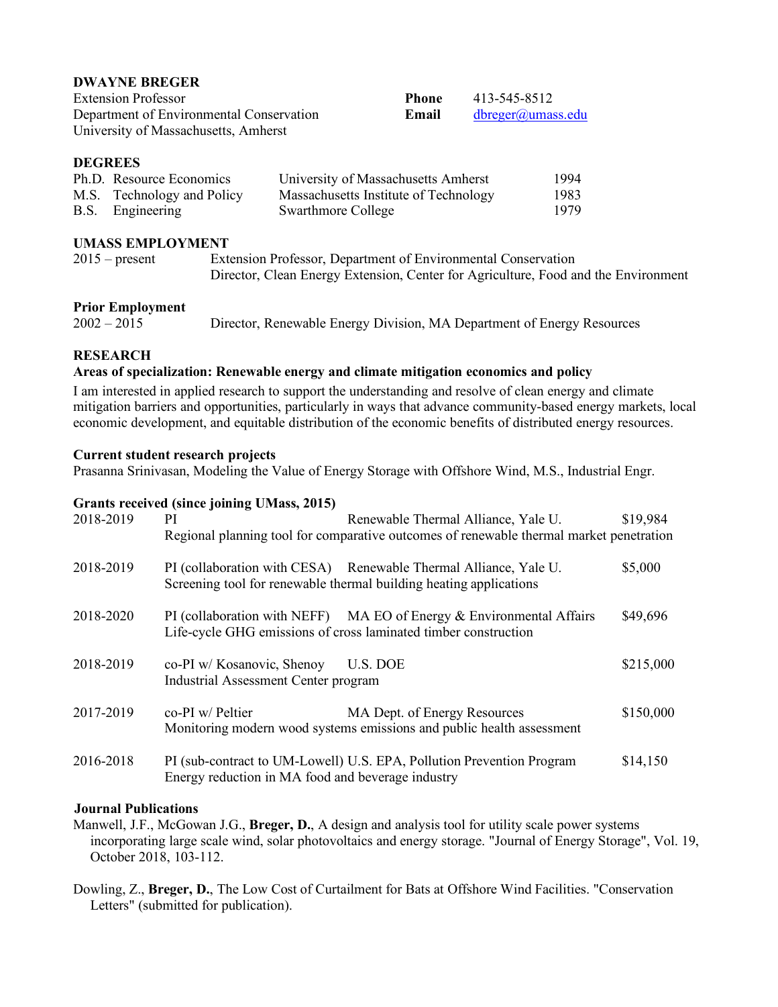#### **DWAYNE BREGER**

| <b>Extension Professor</b>               | Phone | 413-545-8512      |
|------------------------------------------|-------|-------------------|
| Department of Environmental Conservation | Email | dbreger@umass.edu |
| University of Massachusetts, Amherst     |       |                   |

## **DEGREES**

| Ph.D. Resource Economics   | University of Massachusetts Amherst   | 1994 |
|----------------------------|---------------------------------------|------|
| M.S. Technology and Policy | Massachusetts Institute of Technology | 1983 |
| B.S. Engineering           | <b>Swarthmore College</b>             | 1979 |

#### **UMASS EMPLOYMENT**

2015 – present Extension Professor, Department of Environmental Conservation Director, Clean Energy Extension, Center for Agriculture, Food and the Environment

## **Prior Employment**

2002 – 2015 Director, Renewable Energy Division, MA Department of Energy Resources

# **RESEARCH**

# **Areas of specialization: Renewable energy and climate mitigation economics and policy**

I am interested in applied research to support the understanding and resolve of clean energy and climate mitigation barriers and opportunities, particularly in ways that advance community-based energy markets, local economic development, and equitable distribution of the economic benefits of distributed energy resources.

## **Current student research projects**

Prasanna Srinivasan, Modeling the Value of Energy Storage with Offshore Wind, M.S., Industrial Engr.

# **Grants received (since joining UMass, 2015)**

| 2018-2019 | <sub>PI</sub>                                                      | Renewable Thermal Alliance, Yale U.<br>Regional planning tool for comparative outcomes of renewable thermal market penetration          | \$19,984  |
|-----------|--------------------------------------------------------------------|-----------------------------------------------------------------------------------------------------------------------------------------|-----------|
| 2018-2019 |                                                                    | PI (collaboration with CESA) Renewable Thermal Alliance, Yale U.<br>Screening tool for renewable thermal building heating applications  | \$5,000   |
| 2018-2020 |                                                                    | PI (collaboration with NEFF) MA EO of Energy & Environmental Affairs<br>Life-cycle GHG emissions of cross laminated timber construction | \$49,696  |
| 2018-2019 | co-PI w/ Kosanovic, Shenoy<br>Industrial Assessment Center program | U.S. DOE                                                                                                                                | \$215,000 |
| 2017-2019 | $co-PI$ w/ Peltier                                                 | MA Dept. of Energy Resources<br>Monitoring modern wood systems emissions and public health assessment                                   | \$150,000 |
| 2016-2018 | Energy reduction in MA food and beverage industry                  | PI (sub-contract to UM-Lowell) U.S. EPA, Pollution Prevention Program                                                                   | \$14,150  |

## **Journal Publications**

Manwell, J.F., McGowan J.G., **Breger, D.**, A design and analysis tool for utility scale power systems incorporating large scale wind, solar photovoltaics and energy storage. "Journal of Energy Storage", Vol. 19, October 2018, 103-112.

Dowling, Z., **Breger, D.**, The Low Cost of Curtailment for Bats at Offshore Wind Facilities. "Conservation Letters" (submitted for publication).